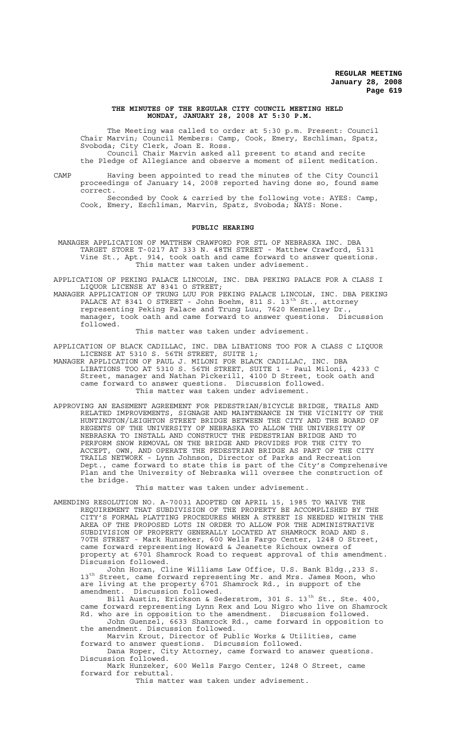### **THE MINUTES OF THE REGULAR CITY COUNCIL MEETING HELD MONDAY, JANUARY 28, 2008 AT 5:30 P.M.**

The Meeting was called to order at 5:30 p.m. Present: Council Chair Marvin; Council Members: Camp, Cook, Emery, Eschliman, Spatz, Svoboda; City Clerk, Joan E. Ross.

Council Chair Marvin asked all present to stand and recite the Pledge of Allegiance and observe a moment of silent meditation.

CAMP Having been appointed to read the minutes of the City Council proceedings of January 14, 2008 reported having done so, found same correct.

Seconded by Cook & carried by the following vote: AYES: Camp, Cook, Emery, Eschliman, Marvin, Spatz, Svoboda; NAYS: None.

### **PUBLIC HEARING**

 MANAGER APPLICATION OF MATTHEW CRAWFORD FOR STL OF NEBRASKA INC. DBA TARGET STORE T-0217 AT 333 N. 48TH STREET - Matthew Crawford, 5131 Vine St., Apt. 914, took oath and came forward to answer questions. This matter was taken under advisement.

APPLICATION OF PEKING PALACE LINCOLN, INC. DBA PEKING PALACE FOR A CLASS I LIQUOR LICENSE AT 8341 O STREET;

MANAGER APPLICATION OF TRUNG LUU FOR PEKING PALACE LINCOLN, INC. DBA PEKING PALACE AT 8341 O STREET - John Boehm, 811 S. 13<sup>th</sup> St., attorney representing Peking Palace and Trung Luu, 7620 Kennelley Dr., manager, took oath and came forward to answer questions. Discussion followed.

This matter was taken under advisement.

APPLICATION OF BLACK CADILLAC, INC. DBA LIBATIONS TOO FOR A CLASS C LIQUOR LICENSE AT 5310 S. 56TH STREET, SUITE 1;

MANAGER APPLICATION OF PAUL J. MILONI FOR BLACK CADILLAC, INC. DBA LIBATIONS TOO AT 5310 S. 56TH STREET, SUITE 1 - Paul Miloni, 4233 C Street, manager and Nathan Pickerill, 4100 D Street, took oath and came forward to answer questions. Discussion followed. This matter was taken under advisement.

APPROVING AN EASEMENT AGREEMENT FOR PEDESTRIAN/BICYCLE BRIDGE, TRAILS AND RELATED IMPROVEMENTS, SIGNAGE AND MAINTENANCE IN THE VICINITY OF THE HUNTINGTON/LEIGHTON STREET BRIDGE BETWEEN THE CITY AND THE BOARD OF REGENTS OF THE UNIVERSITY OF NEBRASKA TO ALLOW THE UNIVERSITY OF NEBRASKA TO INSTALL AND CONSTRUCT THE PEDESTRIAN BRIDGE AND TO PERFORM SNOW REMOVAL ON THE BRIDGE AND PROVIDES FOR THE CITY TO ACCEPT, OWN, AND OPERATE THE PEDESTRIAN BRIDGE AS PART OF THE CITY TRAILS NETWORK - Lynn Johnson, Director of Parks and Recreation Dept., came forward to state this is part of the City's Comprehensive Plan and the University of Nebraska will oversee the construction of the bridge.

This matter was taken under advisement.

AMENDING RESOLUTION NO. A-70031 ADOPTED ON APRIL 15, 1985 TO WAIVE THE REQUIREMENT THAT SUBDIVISION OF THE PROPERTY BE ACCOMPLISHED BY THE CITY'S FORMAL PLATTING PROCEDURES WHEN A STREET IS NEEDED WITHIN THE AREA OF THE PROPOSED LOTS IN ORDER TO ALLOW FOR THE ADMINISTRATIVE SUBDIVISION OF PROPERTY GENERALLY LOCATED AT SHAMROCK ROAD AND S. 70TH STREET - Mark Hunzeker, 600 Wells Fargo Center, 1248 O Street, came forward representing Howard & Jeanette Richoux owners of property at 6701 Shamrock Road to request approval of this amendment. Discussion followed.

John Horan, Cline Williams Law Office, U.S. Bank Bldg.,233 S. 13<sup>th</sup> Street, came forward representing Mr. and Mrs. James Moon, who are living at the property 6701 Shamrock Rd., in support of the amendment. Discussion followed.

Bill Austin, Erickson & Sederstrom, 301 S. 13<sup>th</sup> St., Ste. 400, came forward representing Lynn Rex and Lou Nigro who live on Shamrock Rd. who are in opposition to the amendment. Discussion followed.

John Guenzel, 6633 Shamrock Rd., came forward in opposition to the amendment. Discussion followed.

Marvin Krout, Director of Public Works & Utilities, came forward to answer questions. Discussion followed.

Dana Roper, City Attorney, came forward to answer questions. Discussion followed.

Mark Hunzeker, 600 Wells Fargo Center, 1248 O Street, came forward for rebuttal.

This matter was taken under advisement.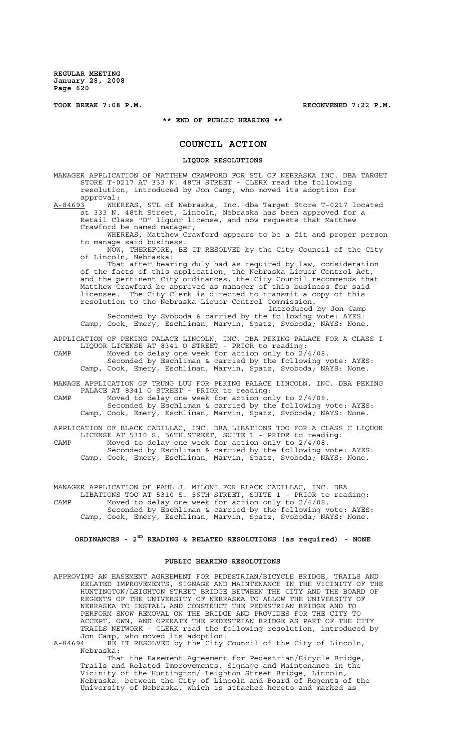**TOOK BREAK 7:08 P.M. RECONVENED 7:22 P.M.**

**\*\* END OF PUBLIC HEARING \*\***

# **COUNCIL ACTION**

### **LIQUOR RESOLUTIONS**

MANAGER APPLICATION OF MATTHEW CRAWFORD FOR STL OF NEBRASKA INC. DBA TARGET STORE T-0217 AT 333 N. 48TH STREET - CLERK read the following resolution, introduced by Jon Camp, who moved its adoption for

approval:<br>A-84693 WHE WHEREAS, STL of Nebraska, Inc. dba Target Store T-0217 located at 333 N. 48th Street, Lincoln, Nebraska has been approved for a Retail Class "D" liquor license, and now requests that Matthew Crawford be named manager;

WHEREAS, Matthew Crawford appears to be a fit and proper person to manage said business.

NOW, THEREFORE, BE IT RESOLVED by the City Council of the City of Lincoln, Nebraska:

That after hearing duly had as required by law, consideration of the facts of this application, the Nebraska Liquor Control Act, and the pertinent City ordinances, the City Council recommends that Matthew Crawford be approved as manager of this business for said licensee. The City Clerk is directed to transmit a copy of this resolution to the Nebraska Liquor Control Commission.

Introduced by Jon Camp Seconded by Svoboda & carried by the following vote: AYES: Camp, Cook, Emery, Eschliman, Marvin, Spatz, Svoboda; NAYS: None.

APPLICATION OF PEKING PALACE LINCOLN, INC. DBA PEKING PALACE FOR A CLASS I LIQUOR LICENSE AT 8341 O STREET - PRIOR to reading:

CAMP Moved to delay one week for action only to 2/4/08. Seconded by Eschliman & carried by the following vote: AYES: Camp, Cook, Emery, Eschliman, Marvin, Spatz, Svoboda; NAYS: None.

MANAGE APPLICATION OF TRUNG LUU FOR PEKING PALACE LINCOLN, INC. DBA PEKING PALACE AT 8341 O STREET - PRIOR to reading:

CAMP Moved to delay one week for action only to 2/4/08. Seconded by Eschliman & carried by the following vote: AYES: Camp, Cook, Emery, Eschliman, Marvin, Spatz, Svoboda; NAYS: None.

APPLICATION OF BLACK CADILLAC, INC. DBA LIBATIONS TOO FOR A CLASS C LIQUOR LICENSE AT 5310 S. 56TH STREET, SUITE 1 - PRIOR to reading: CAMP Moved to delay one week for action only to 2/4/08. Seconded by Eschliman & carried by the following vote: AYES: Camp, Cook, Emery, Eschliman, Marvin, Spatz, Svoboda; NAYS: None.

MANAGER APPLICATION OF PAUL J. MILONI FOR BLACK CADILLAC, INC. DBA LIBATIONS TOO AT 5310 S. 56TH STREET, SUITE 1 - PRIOR to reading: CAMP Moved to delay one week for action only to 2/4/08. Seconded by Eschliman & carried by the following vote: AYES: Camp, Cook, Emery, Eschliman, Marvin, Spatz, Svoboda; NAYS: None.

# **ORDINANCES - 2ND READING & RELATED RESOLUTIONS (as required) - NONE**

### **PUBLIC HEARING RESOLUTIONS**

APPROVING AN EASEMENT AGREEMENT FOR PEDESTRIAN/BICYCLE BRIDGE, TRAILS AND RELATED IMPROVEMENTS, SIGNAGE AND MAINTENANCE IN THE VICINITY OF THE HUNTINGTON/LEIGHTON STREET BRIDGE BETWEEN THE CITY AND THE BOARD OF REGENTS OF THE UNIVERSITY OF NEBRASKA TO ALLOW THE UNIVERSITY OF NEBRASKA TO INSTALL AND CONSTRUCT THE PEDESTRIAN BRIDGE AND TO PERFORM SNOW REMOVAL ON THE BRIDGE AND PROVIDES FOR THE CITY TO ACCEPT, OWN, AND OPERATE THE PEDESTRIAN BRIDGE AS PART OF THE CITY TRAILS NETWORK - CLERK read the following resolution, introduced by Jon Camp, who moved its adoption:

A-84694 BE IT RESOLVED by the City Council of the City of Lincoln, Nebraska:

That the Easement Agreement for Pedestrian/Bicycle Bridge, Trails and Related Improvements, Signage and Maintenance in the Vicinity of the Huntington/ Leighton Street Bridge, Lincoln, Nebraska, between the City of Lincoln and Board of Regents of the University of Nebraska, which is attached hereto and marked as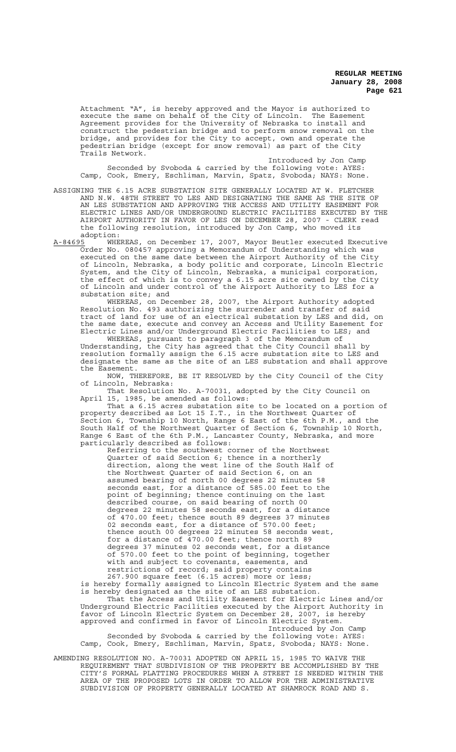Attachment "A", is hereby approved and the Mayor is authorized to execute the same on behalf of the City of Lincoln. The Easement Agreement provides for the University of Nebraska to install and construct the pedestrian bridge and to perform snow removal on the bridge, and provides for the City to accept, own and operate the pedestrian bridge (except for snow removal) as part of the City Trails Network.

Introduced by Jon Camp Seconded by Svoboda & carried by the following vote: AYES: Camp, Cook, Emery, Eschliman, Marvin, Spatz, Svoboda; NAYS: None.

ASSIGNING THE 6.15 ACRE SUBSTATION SITE GENERALLY LOCATED AT W. FLETCHER AND N.W. 48TH STREET TO LES AND DESIGNATING THE SAME AS THE SITE OF AN LES SUBSTATION AND APPROVING THE ACCESS AND UTILITY EASEMENT FOR ELECTRIC LINES AND/OR UNDERGROUND ELECTRIC FACILITIES EXECUTED BY THE AIRPORT AUTHORITY IN FAVOR OF LES ON DECEMBER 28, 2007 - CLERK read the following resolution, introduced by Jon Camp, who moved its adoption:<br><u>A-84695</u> WHEREAS,

A-84695 WHEREAS, on December 17, 2007, Mayor Beutler executed Executive Order No. 080457 approving a Memorandum of Understanding which was executed on the same date between the Airport Authority of the City of Lincoln, Nebraska, a body politic and corporate, Lincoln Electric System, and the City of Lincoln, Nebraska, a municipal corporation, the effect of which is to convey a 6.15 acre site owned by the City of Lincoln and under control of the Airport Authority to LES for a substation site; and

WHEREAS, on December 28, 2007, the Airport Authority adopted Resolution No. 493 authorizing the surrender and transfer of said tract of land for use of an electrical substation by LES and did, on the same date, execute and convey an Access and Utility Easement for Electric Lines and/or Underground Electric Facilities to LES; and

WHEREAS, pursuant to paragraph 3 of the Memorandum of Understanding, the City has agreed that the City Council shall by resolution formally assign the 6.15 acre substation site to LES and designate the same as the site of an LES substation and shall approve the Easement.

NOW, THEREFORE, BE IT RESOLVED by the City Council of the City of Lincoln, Nebraska:

That Resolution No. A-70031, adopted by the City Council on April 15, 1985, be amended as follows:

That a 6.15 acres substation site to be located on a portion of property described as Lot 15 I.T., in the Northwest Quarter of Section 6, Township 10 North, Range 6 East of the 6th P.M., and the South Half of the Northwest Quarter of Section 6, Township 10 North, Range 6 East of the 6th P.M., Lancaster County, Nebraska, and more particularly described as follows:

Referring to the southwest corner of the Northwest Quarter of said Section 6; thence in a northerly direction, along the west line of the South Half of the Northwest Quarter of said Section 6, on an assumed bearing of north 00 degrees 22 minutes 58 seconds east, for a distance of 585.00 feet to the point of beginning; thence continuing on the last described course, on said bearing of north 00 degrees 22 minutes 58 seconds east, for a distance of 470.00 feet; thence south 89 degrees 37 minutes 02 seconds east, for a distance of 570.00 feet; thence south 00 degrees 22 minutes 58 seconds west, for a distance of 470.00 feet; thence north 89 degrees 37 minutes 02 seconds west, for a distance of 570.00 feet to the point of beginning, together with and subject to covenants, easements, and restrictions of record; said property contains 267.900 square feet (6.15 acres) more or less; is hereby formally assigned to Lincoln Electric System and the same

is hereby designated as the site of an LES substation. That the Access and Utility Easement for Electric Lines and/or

Underground Electric Facilities executed by the Airport Authority in favor of Lincoln Electric System on December 28, 2007, is hereby approved and confirmed in favor of Lincoln Electric System. Introduced by Jon Camp

Seconded by Svoboda & carried by the following vote: AYES: Camp, Cook, Emery, Eschliman, Marvin, Spatz, Svoboda; NAYS: None.

AMENDING RESOLUTION NO. A-70031 ADOPTED ON APRIL 15, 1985 TO WAIVE THE REQUIREMENT THAT SUBDIVISION OF THE PROPERTY BE ACCOMPLISHED BY THE CITY'S FORMAL PLATTING PROCEDURES WHEN A STREET IS NEEDED WITHIN THE AREA OF THE PROPOSED LOTS IN ORDER TO ALLOW FOR THE ADMINISTRATIVE SUBDIVISION OF PROPERTY GENERALLY LOCATED AT SHAMROCK ROAD AND S.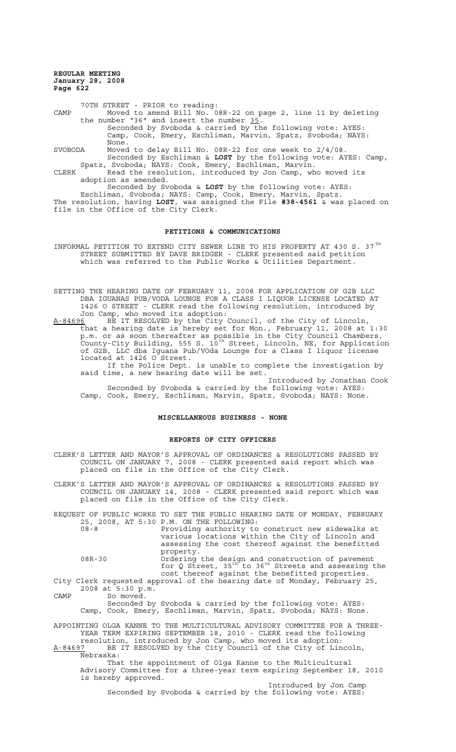70TH STREET - PRIOR to reading: CAMP Moved to amend Bill No. 08R-22 on page 2, line 11 by deleting the number "36" and insert the number 35.<br>Seconded by Svoboda & carried by the following vote: AYES: Camp, Cook, Emery, Eschliman, Marvin, Spatz, Svoboda; NAYS: None. SVOBODA Moved to delay Bill No. 08R-22 for one week to 2/4/08. Seconded by Eschliman & **LOST** by the following vote: AYES: Camp,

Spatz, Svoboda; NAYS: Cook, Emery, Eschliman, Marvin. CLERK Read the resolution, introduced by Jon Camp, who moved its adoption as amended.

Seconded by Svoboda & **LOST** by the following vote: AYES: Eschliman, Svoboda; NAYS: Camp, Cook, Emery, Marvin, Spatz. The resolution, having **LOST**, was assigned the File **#38-4561** & was placed on file in the Office of the City Clerk.

### **PETITIONS & COMMUNICATIONS**

INFORMAL PETITION TO EXTEND CITY SEWER LINE TO HIS PROPERTY AT 430 S. 37 $^{TH}$ STREET SUBMITTED BY DAVE BRIDGER - CLERK presented said petition which was referred to the Public Works & Utilities Department.

SETTING THE HEARING DATE OF FEBRUARY 11, 2008 FOR APPLICATION OF G2B LLC DBA IGUANAS PUB/VODA LOUNGE FOR A CLASS I LIQUOR LICENSE LOCATED AT 1426 O STREET - CLERK read the following resolution, introduced by Jon Camp, who moved its adoption:

A-84696 BE IT RESOLVED by the City Council, of the City of Lincoln, that a hearing date is hereby set for Mon., February 11, 2008 at 1:30 p.m. or as soon thereafter as possible in the City Council Chambers, .<br>County-City Building, 555 S. 10<sup>th</sup> Street, Lincoln, NE, for Application of G2B, LLC dba Iguana Pub/VOda Lounge for a Class I liquor license located at 1426 O Street.

If the Police Dept. is unable to complete the investigation by said time, a new hearing date will be set.

Introduced by Jonathan Cook Seconded by Svoboda & carried by the following vote: AYES: Camp, Cook, Emery, Eschliman, Marvin, Spatz, Svoboda; NAYS: None.

#### **MISCELLANEOUS BUSINESS - NONE**

### **REPORTS OF CITY OFFICERS**

CLERK'S LETTER AND MAYOR'S APPROVAL OF ORDINANCES & RESOLUTIONS PASSED BY COUNCIL ON JANUARY 7, 2008 - CLERK presented said report which was placed on file in the Office of the City Clerk.

CLERK'S LETTER AND MAYOR'S APPROVAL OF ORDINANCES & RESOLUTIONS PASSED BY COUNCIL ON JANUARY 14, 2008 - CLERK presented said report which was placed on file in the Office of the City Clerk.

REQUEST OF PUBLIC WORKS TO SET THE PUBLIC HEARING DATE OF MONDAY, FEBRUARY 25, 2008, AT 5:30 P.M. ON THE FOLLOWING: 08-8 Providing authority to construct new sidewalks at various locations within the City of Lincoln and

assessing the cost thereof against the benefitted property.

08R-30 Ordering the design and construction of pavement for Q Street,  $35^{th}$  to  $36^{th}$  Streets and assessing the cost thereof against the benefitted properties. City Clerk requested approval of the hearing date of Monday, February 25,

2008 at 5:30 p.m. CAMP So moved. Seconded by Svoboda & carried by the following vote: AYES: Camp, Cook, Emery, Eschliman, Marvin, Spatz, Svoboda; NAYS: None.

APPOINTING OLGA KANNE TO THE MULTICULTURAL ADVISORY COMMITTEE FOR A THREE-YEAR TERM EXPIRING SEPTEMBER 18, 2010 - CLERK read the following resolution, introduced by Jon Camp, who moved its adoption:

A-84697 BE IT RESOLVED by the City Council of the City of Lincoln, Nebraska:

That the appointment of Olga Kanne to the Multicultural Advisory Committee for a three-year term expiring September 18, 2010 is hereby approved.

Introduced by Jon Camp Seconded by Svoboda & carried by the following vote: AYES: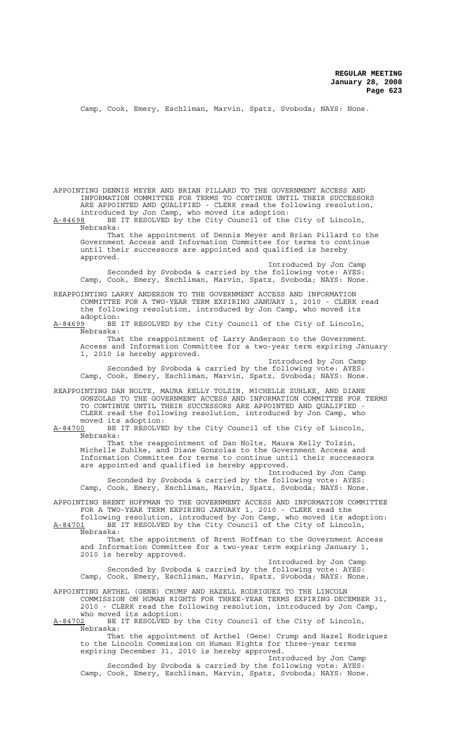Camp, Cook, Emery, Eschliman, Marvin, Spatz, Svoboda; NAYS: None.

APPOINTING DENNIS MEYER AND BRIAN PILLARD TO THE GOVERNMENT ACCESS AND INFORMATION COMMITTEE FOR TERMS TO CONTINUE UNTIL THEIR SUCCESSORS ARE APPOINTED AND QUALIFIED - CLERK read the following resolution, introduced by Jon Camp, who moved its adoption:

A-84698 BE IT RESOLVED by the City Council of the City of Lincoln, Nebraska:

That the appointment of Dennis Meyer and Brian Pillard to the Government Access and Information Committee for terms to continue until their successors are appointed and qualified is hereby approved.

Introduced by Jon Camp Seconded by Svoboda & carried by the following vote: AYES: Camp, Cook, Emery, Eschliman, Marvin, Spatz, Svoboda; NAYS: None.

REAPPOINTING LARRY ANDERSON TO THE GOVERNMENT ACCESS AND INFORMATION COMMITTEE FOR A TWO-YEAR TERM EXPIRING JANUARY 1, 2010 - CLERK read the following resolution, introduced by Jon Camp, who moved its

adoption:<br><u>A-84699</u> BE BE IT RESOLVED by the City Council of the City of Lincoln, Nebraska:

That the reappointment of Larry Anderson to the Government Access and Information Committee for a two-year term expiring January 1, 2010 is hereby approved.

Introduced by Jon Camp Seconded by Svoboda & carried by the following vote: AYES: Camp, Cook, Emery, Eschliman, Marvin, Spatz, Svoboda; NAYS: None.

REAPPOINTING DAN NOLTE, MAURA KELLY TOLZIN, MICHELLE ZUHLKE, AND DIANE GONZOLAS TO THE GOVERNMENT ACCESS AND INFORMATION COMMITTEE FOR TERMS TO CONTINUE UNTIL THEIR SUCCESSORS ARE APPOINTED AND QUALIFIED - CLERK read the following resolution, introduced by Jon Camp, who moved its adoption:<br>A-84700 BE IT RESOLVE

BE IT RESOLVED by the City Council of the City of Lincoln, Nebraska:

That the reappointment of Dan Nolte, Maura Kelly Tolzin, Michelle Zuhlke, and Diane Gonzolas to the Government Access and Michelle Zuhlke, and Diane Gonzolas to the Government Access and<br>Information Committee for terms to continue until their successors are appointed and qualified is hereby approved.

Introduced by Jon Camp Seconded by Svoboda & carried by the following vote: AYES: Camp, Cook, Emery, Eschliman, Marvin, Spatz, Svoboda; NAYS: None.

APPOINTING BRENT HOFFMAN TO THE GOVERNMENT ACCESS AND INFORMATION COMMITTEE FOR A TWO-YEAR TERM EXPIRING JANUARY 1, 2010 - CLERK read the

following resolution, introduced by Jon Camp, who moved its adoption: A-84701 BE IT RESOLVED by the City Council of the City of Lincoln, Nebraska:

That the appointment of Brent Hoffman to the Government Access and Information Committee for a two-year term expiring January 1, 2010 is hereby approved.

Introduced by Jon Camp Seconded by Svoboda & carried by the following vote: AYES: Camp, Cook, Emery, Eschliman, Marvin, Spatz, Svoboda; NAYS: None.

APPOINTING ARTHEL (GENE) CRUMP AND HAZELL RODRIGUEZ TO THE LINCOLN COMMISSION ON HUMAN RIGHTS FOR THREE-YEAR TERMS EXPIRING DECEMBER 31, 2010 - CLERK read the following resolution, introduced by Jon Camp, who moved its adoption:<br>A-84702 BE IT RESOLVED by

BE IT RESOLVED by the City Council of the City of Lincoln Nebraska:

That the appointment of Arthel (Gene) Crump and Hazel Rodriquez to the Lincoln Commission on Human Rights for three-year terms expiring December 31, 2010 is hereby approved.

Introduced by Jon Camp Seconded by Svoboda & carried by the following vote: AYES: Camp, Cook, Emery, Eschliman, Marvin, Spatz, Svoboda; NAYS: None.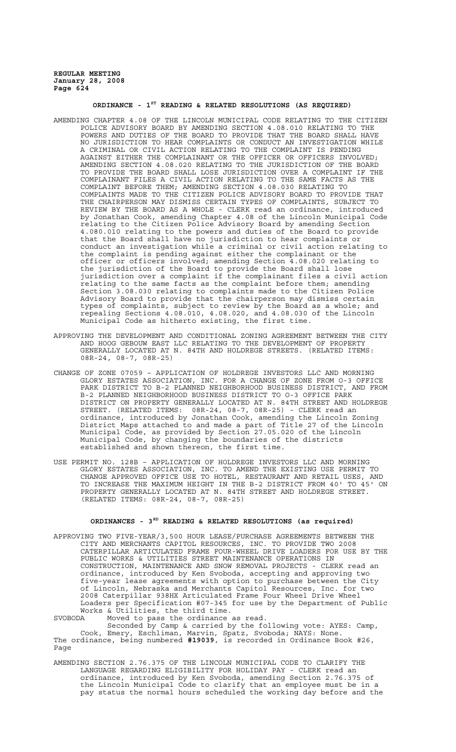# **ORDINANCE - 1ST READING & RELATED RESOLUTIONS (AS REQUIRED)**

- AMENDING CHAPTER 4.08 OF THE LINCOLN MUNICIPAL CODE RELATING TO THE CITIZEN POLICE ADVISORY BOARD BY AMENDING SECTION 4.08.010 RELATING TO THE POWERS AND DUTIES OF THE BOARD TO PROVIDE THAT THE BOARD SHALL HAVE NO JURISDICTION TO HEAR COMPLAINTS OR CONDUCT AN INVESTIGATION WHILE A CRIMINAL OR CIVIL ACTION RELATING TO THE COMPLAINT IS PENDING AGAINST EITHER THE COMPLAINANT OR THE OFFICER OR OFFICERS INVOLVED; AMENDING SECTION 4.08.020 RELATING TO THE JURISDICTION OF THE BOARD TO PROVIDE THE BOARD SHALL LOSE JURISDICTION OVER A COMPLAINT IF THE COMPLAINANT FILES A CIVIL ACTION RELATING TO THE SAME FACTS AS THE COMPLAINANT I LEE IN CITIB INCREASE IN ELECTION 4.08.030 RELATING TO COMPLAINT BEFORE THEM; AMENDING SECTION 4.08.030 RELATING TO COMPLAINTS MADE TO THE CITIZEN POLICE ADVISORY BOARD TO PROVIDE THAT THE CHAIRPERSON MAY DISMISS CERTAIN TYPES OF COMPLAINTS, SUBJECT TO REVIEW BY THE BOARD AS A WHOLE - CLERK read an ordinance, introduced by Jonathan Cook, amending Chapter 4.08 of the Lincoln Municipal Code relating to the Citizen Police Advisory Board by amending Section 4.080.010 relating to the powers and duties of the Board to provide that the Board shall have no jurisdiction to hear complaints or conduct an investigation while a criminal or civil action relating to the complaint is pending against either the complainant or the officer or officers involved; amending Section 4.08.020 relating to the jurisdiction of the Board to provide the Board shall lose jurisdiction over a complaint if the complainant files a civil action relating to the same facts as the complaint before them; amending Section 3.08.030 relating to complaints made to the Citizen Police Advisory Board to provide that the chairperson may dismiss certain types of complaints, subject to review by the Board as a whole; and repealing Sections 4.08.010, 4.08.020, and 4.08.030 of the Lincoln Municipal Code as hitherto existing, the first time.
- APPROVING THE DEVELOPMENT AND CONDITIONAL ZONING AGREEMENT BETWEEN THE CITY AND HOOG GEBOUW EAST LLC RELATING TO THE DEVELOPMENT OF PROPERTY GENERALLY LOCATED AT N. 84TH AND HOLDREGE STREETS. (RELATED ITEMS: 08R-24, 08-7, 08R-25)
- CHANGE OF ZONE 07059 APPLICATION OF HOLDREGE INVESTORS LLC AND MORNING GLORY ESTATES ASSOCIATION, INC. FOR A CHANGE OF ZONE FROM O-3 OFFICE PARK DISTRICT TO B-2 PLANNED NEIGHBORHOOD BUSINESS DISTRICT, AND FROM B-2 PLANNED NEIGHBORHOOD BUSINESS DISTRICT TO O-3 OFFICE PARK DISTRICT ON PROPERTY GENERALLY LOCATED AT N. 84TH STREET AND HOLDREGE STREET. (RELATED ITEMS: 08R-24, 08-7, 08R-25) - CLERK read an ordinance, introduced by Jonathan Cook, amending the Lincoln Zoning District Maps attached to and made a part of Title 27 of the Lincoln Municipal Code, as provided by Section 27.05.020 of the Lincoln Municipal Code, by changing the boundaries of the districts established and shown thereon, the first time.
- USE PERMIT NO. 128B APPLICATION OF HOLDREGE INVESTORS LLC AND MORNING GLORY ESTATES ASSOCIATION, INC. TO AMEND THE EXISTING USE PERMIT TO CHANGE APPROVED OFFICE USE TO HOTEL, RESTAURANT AND RETAIL USES, AND TO INCREASE THE MAXIMUM HEIGHT IN THE B-2 DISTRICT FROM 40' TO 45' ON PROPERTY GENERALLY LOCATED AT N. 84TH STREET AND HOLDREGE STREET. (RELATED ITEMS: 08R-24, 08-7, 08R-25)

# **ORDINANCES - 3RD READING & RELATED RESOLUTIONS (as required)**

APPROVING TWO FIVE-YEAR/3,500 HOUR LEASE/PURCHASE AGREEMENTS BETWEEN THE CITY AND MERCHANTS CAPITOL RESOURCES, INC. TO PROVIDE TWO 2008 CATERPILLAR ARTICULATED FRAME FOUR-WHEEL DRIVE LOADERS FOR USE BY THE PUBLIC WORKS & UTILITIES STREET MAINTENANCE OPERATIONS IN CONSTRUCTION, MAINTENANCE AND SNOW REMOVAL PROJECTS - CLERK read an ordinance, introduced by Ken Svoboda, accepting and approving two five-year lease agreements with option to purchase between the City of Lincoln, Nebraska and Merchants Capitol Resources, Inc. for two 2008 Caterpillar 938HX Articulated Frame Four Wheel Drive Wheel Loaders per Specification #07-345 for use by the Department of Public Works & Utilities, the third time.

SVOBODA Moved to pass the ordinance as read.

Seconded by Camp & carried by the following vote: AYES: Camp, Cook, Emery, Eschliman, Marvin, Spatz, Svoboda; NAYS: None. The ordinance, being numbered **#19039**, is recorded in Ordinance Book #26, Page

AMENDING SECTION 2.76.375 OF THE LINCOLN MUNICIPAL CODE TO CLARIFY THE LANGUAGE REGARDING ELIGIBILITY FOR HOLIDAY PAY - CLERK read an ordinance, introduced by Ken Svoboda, amending Section 2.76.375 of the Lincoln Municipal Code to clarify that an employee must be in a pay status the normal hours scheduled the working day before and the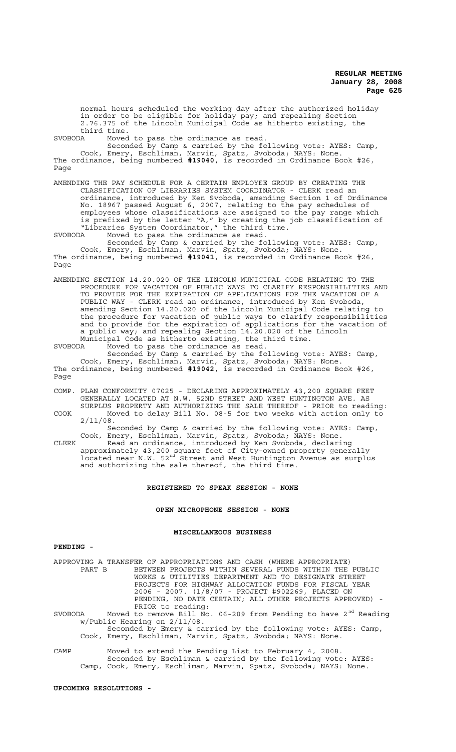normal hours scheduled the working day after the authorized holiday in order to be eligible for holiday pay; and repealing Section 2.76.375 of the Lincoln Municipal Code as hitherto existing, the third time.<br>SVOBODA Moved

Moved to pass the ordinance as read.

Seconded by Camp & carried by the following vote: AYES: Camp, Cook, Emery, Eschliman, Marvin, Spatz, Svoboda; NAYS: None. The ordinance, being numbered **#19040**, is recorded in Ordinance Book #26, Page

AMENDING THE PAY SCHEDULE FOR A CERTAIN EMPLOYEE GROUP BY CREATING THE CLASSIFICATION OF LIBRARIES SYSTEM COORDINATOR - CLERK read an ordinance, introduced by Ken Svoboda, amending Section 1 of Ordinance No. 18967 passed August 6, 2007, relating to the pay schedules of employees whose classifications are assigned to the pay range which is prefixed by the letter "A," by creating the job classification of "Libraries System Coordinator," the third time.

SVOBODA Moved to pass the ordinance as read. Seconded by Camp & carried by the following vote: AYES: Camp, Cook, Emery, Eschliman, Marvin, Spatz, Svoboda; NAYS: None. The ordinance, being numbered **#19041**, is recorded in Ordinance Book #26, Page

AMENDING SECTION 14.20.020 OF THE LINCOLN MUNICIPAL CODE RELATING TO THE PROCEDURE FOR VACATION OF PUBLIC WAYS TO CLARIFY RESPONSIBILITIES AND TO PROVIDE FOR THE EXPIRATION OF APPLICATIONS FOR THE VACATION OF A PUBLIC WAY - CLERK read an ordinance, introduced by Ken Svoboda, amending Section 14.20.020 of the Lincoln Municipal Code relating to the procedure for vacation of public ways to clarify responsibilities and to provide for the expiration of applications for the vacation of a public way; and repealing Section 14.20.020 of the Lincoln Municipal Code as hitherto existing, the third time.

SVOBODA Moved to pass the ordinance as read. Seconded by Camp & carried by the following vote: AYES: Camp, Cook, Emery, Eschliman, Marvin, Spatz, Svoboda; NAYS: None. The ordinance, being numbered **#19042**, is recorded in Ordinance Book #26, Page

COMP. PLAN CONFORMITY 07025 - DECLARING APPROXIMATELY 43,200 SQUARE FEET GENERALLY LOCATED AT N.W. 52ND STREET AND WEST HUNTINGTON AVE. AS SURPLUS PROPERTY AND AUTHORIZING THE SALE THEREOF - PRIOR to reading:

COOK Moved to delay Bill No. 08-5 for two weeks with action only to 2/11/08.

Seconded by Camp & carried by the following vote: AYES: Camp, Cook, Emery, Eschliman, Marvin, Spatz, Svoboda; NAYS: None.

CLERK Read an ordinance, introduced by Ken Svoboda, declaring approximately 43,200 square feet of City-owned property generally located near N.W. 52nd Street and West Huntington Avenue as surplus and authorizing the sale thereof, the third time.

### **REGISTERED TO SPEAK SESSION - NONE**

# **OPEN MICROPHONE SESSION - NONE**

## **MISCELLANEOUS BUSINESS**

# **PENDING -**

APPROVING A TRANSFER OF APPROPRIATIONS AND CASH (WHERE APPROPRIATE) BETWEEN PROJECTS WITHIN SEVERAL FUNDS WITHIN THE PUBLIC WORKS & UTILITIES DEPARTMENT AND TO DESIGNATE STREET PROJECTS FOR HIGHWAY ALLOCATION FUNDS FOR FISCAL YEAR 2006 - 2007. (1/8/07 - PROJECT #902269, PLACED ON PENDING, NO DATE CERTAIN; ALL OTHER PROJECTS APPROVED) - PRIOR to reading:

SVOBODA Moved to remove Bill No. 06-209 from Pending to have  $2^{nd}$  Reading w/Public Hearing on 2/11/08.

Seconded by Emery & carried by the following vote: AYES: Camp, Cook, Emery, Eschliman, Marvin, Spatz, Svoboda; NAYS: None.

CAMP Moved to extend the Pending List to February 4, 2008. Seconded by Eschliman & carried by the following vote: AYES: Camp, Cook, Emery, Eschliman, Marvin, Spatz, Svoboda; NAYS: None.

#### **UPCOMING RESOLUTIONS -**